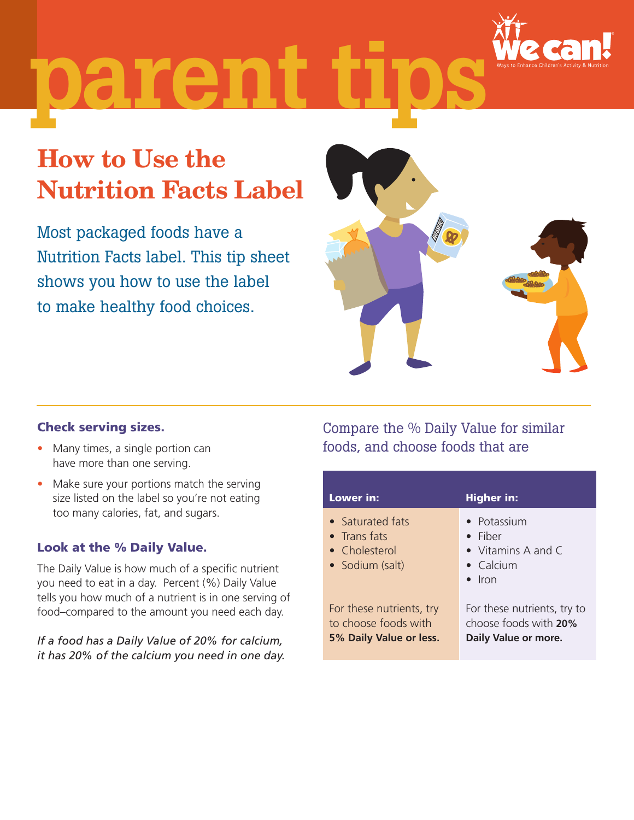

# parent

## How to Use the Nutrition Facts Label

Most packaged foods have a Nutrition Facts label. This tip sheet shows you how to use the label to make healthy food choices.



#### Check serving sizes.

- Many times, a single portion can have more than one serving.
- Make sure your portions match the serving size listed on the label so you're not eating too many calories, fat, and sugars.

#### Look at the % Daily Value.

 The Daily Value is how much of a specific nutrient you need to eat in a day. Percent (%) Daily Value tells you how much of a nutrient is in one serving of food–compared to the amount you need each day.

*If a food has a Daily Value of 20% for calcium, it has 20% of the calcium you need in one day.* 

### Compare the % Daily Value for similar foods, and choose foods that are

| Lower in:                                                                   | <b>Higher in:</b>                                                                                     |
|-----------------------------------------------------------------------------|-------------------------------------------------------------------------------------------------------|
| • Saturated fats<br>$\bullet$ Transfats<br>• Cholesterol<br>• Sodium (salt) | • Potassium<br>$\bullet$ Fiber<br>• Vitamins A and $\mathsf C$<br>$\bullet$ Calcium<br>$\bullet$ Iron |
| For these nutrients, try<br>to choose foods with<br>5% Daily Value or less. | For these nutrients, try to<br>choose foods with 20%<br>Daily Value or more.                          |